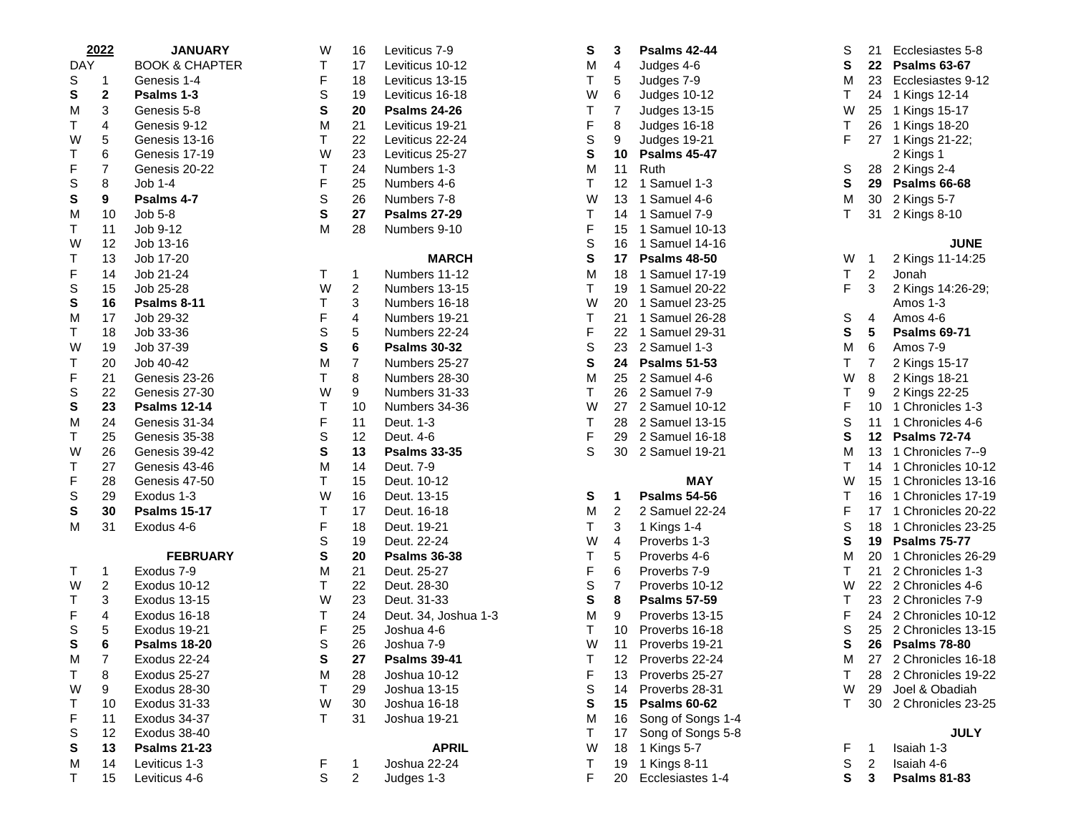| 2022       |                         | <b>JANUARY</b>            | W  | 16             | Leviticus 7-9       |
|------------|-------------------------|---------------------------|----|----------------|---------------------|
| <b>DAY</b> |                         | <b>BOOK &amp; CHAPTER</b> | T  | 17             | Leviticus 10-12     |
| S          | 1                       | Genesis 1-4               | F  | 18             | Leviticus 13-15     |
| S          | $\overline{\mathbf{c}}$ | Psalms 1-3                | S  | 19             | Leviticus 16-18     |
| M          | 3                       | Genesis 5-8               | S  | 20             | <b>Psalms 24-26</b> |
| T          | 4                       | Genesis 9-12              | M  | 21             | Leviticus 19-21     |
| W          | 5                       | Genesis 13-16             | T. | 22             | Leviticus 22-24     |
| T          | 6                       | Genesis 17-19             | W  | 23             | Leviticus 25-27     |
| F          | 7                       | Genesis 20-22             | T  | 24             | Numbers 1-3         |
| S          | 8                       | Job 1-4                   | F  | 25             | Numbers 4-6         |
| S          | 9                       | Psalms 4-7                | S  | 26             | Numbers 7-8         |
| M          | 10                      | Job 5-8                   | S  | 27             | <b>Psalms 27-29</b> |
| T          | 11                      | Job 9-12                  | M  | 28             | Numbers 9-10        |
| W          | 12                      | Job 13-16                 |    |                |                     |
| T          | 13                      | Job 17-20                 |    |                | <b>MARCH</b>        |
| F          | 14                      | Job 21-24                 | T. | 1              | Numbers 11-12       |
| S          | 15                      | Job 25-28                 | W  | $\overline{c}$ | Numbers 13-15       |
| S          | 16                      | Psalms 8-11               | T  | 3              | Numbers 16-18       |
| M          | 17                      | Job 29-32                 | F  | 4              | Numbers 19-21       |
| T          | 18                      | Job 33-36                 | S  | 5              | Numbers 22-24       |
| W          | 19                      | Job 37-39                 | S  | 6              | <b>Psalms 30-32</b> |
| Τ          | 20                      | Job 40-42                 | M  | 7              | Numbers 25-27       |
| F          | 21                      | Genesis 23-26             | T  | 8              | Numbers 28-30       |
| S          | 22                      | Genesis 27-30             | W  | 9              | Numbers 31-33       |
| S          | 23                      | <b>Psalms 12-14</b>       | Τ  | 10             | Numbers 34-36       |
| M          | 24                      | Genesis 31-34             | F  | 11             | Deut. 1-3           |
| Т          | 25                      | Genesis 35-38             | S  | 12             | Deut. 4-6           |
| W          | 26                      | Genesis 39-42             | S  | 13             | <b>Psalms 33-35</b> |
| T          | 27                      | Genesis 43-46             | M  | 14             | Deut. 7-9           |
| F          | 28                      | Genesis 47-50             | T  | 15             | Deut. 10-12         |
| S          | 29                      | Exodus 1-3                | W  | 16             | Deut. 13-15         |
| S          | 30                      | <b>Psalms 15-17</b>       | Τ  | 17             | Deut. 16-18         |
| M          | 31                      | Exodus 4-6                | F  | 18             | Deut. 19-21         |
|            |                         |                           | S  | 19             | Deut. 22-24         |
|            |                         | <b>FEBRUARY</b>           | S  | 20             | <b>Psalms 36-38</b> |
| T          | 1                       | Exodus 7-9                | M  | 21             | Deut. 25-27         |
| W          | $\overline{\mathbf{c}}$ | Exodus 10-12              | T  | 22             | Deut. 28-30         |
| Т          | 3                       | Exodus 13-15              | W  | 23             | Deut. 31-33         |
| F          | 4                       | Exodus 16-18              | Τ  | 24             | Deut. 34, Joshua    |
| S          | 5                       | Exodus 19-21              | F  | 25             | Joshua 4-6          |
| S          | 6                       | <b>Psalms 18-20</b>       | S  | 26             | Joshua 7-9          |
| M          | 7                       | Exodus 22-24              | S  | 27             | <b>Psalms 39-41</b> |
| T          | 8                       | Exodus 25-27              | M  | 28             | Joshua 10-12        |
| W          | 9                       | Exodus 28-30              | T  | 29             | Joshua 13-15        |
| Т          | 10                      | Exodus 31-33              | W  | 30             | Joshua 16-18        |
| F          | 11                      | Exodus 34-37              | T  | 31             | Joshua 19-21        |
| S          | 12                      | Exodus 38-40              |    |                |                     |
| S          | 13                      | <b>Psalms 21-23</b>       |    |                | <b>APRIL</b>        |
| M          | 14                      | Leviticus 1-3             | F  | 1              | Joshua 22-24        |
| T          | 15                      | Leviticus 4-6             | S  | $\overline{c}$ | Judges 1-3          |

| W | 16             | Leviticus 7-9        | S | 3  | Psalms 42-44        |
|---|----------------|----------------------|---|----|---------------------|
| Т | 17             | Leviticus 10-12      | М | 4  | Judges 4-6          |
| F | 18             | Leviticus 13-15      | T | 5  | Judges 7-9          |
| S | 19             | Leviticus 16-18      | W | 6  | Judges 10-12        |
| S | 20             | <b>Psalms 24-26</b>  | T | 7  | Judges 13-15        |
| М | 21             | Leviticus 19-21      | F | 8  | Judges 16-18        |
| Т | 22             | Leviticus 22-24      | S | 9  | Judges 19-21        |
| W | 23             | Leviticus 25-27      | S | 10 | <b>Psalms 45-47</b> |
| Т | 24             | Numbers 1-3          | M | 11 | Ruth                |
| F | 25             | Numbers 4-6          | T | 12 | 1 Samuel 1-3        |
| S | 26             | Numbers 7-8          | W | 13 | 1 Samuel 4-6        |
| S | 27             | <b>Psalms 27-29</b>  | T | 14 | 1 Samuel 7-9        |
| Μ | 28             | Numbers 9-10         | F | 15 | 1 Samuel 10-        |
|   |                |                      | S | 16 | 1 Samuel 14-        |
|   |                | <b>MARCH</b>         | S | 17 | <b>Psalms 48-50</b> |
| Т | 1              | Numbers 11-12        | М | 18 | 1 Samuel 17-        |
| W | 2              | Numbers 13-15        | T | 19 | 1 Samuel 20-        |
| Т | 3              | Numbers 16-18        | W | 20 | 1 Samuel 23-        |
| F | 4              | Numbers 19-21        | Т | 21 | 1 Samuel 26-        |
| S | 5              | Numbers 22-24        | F | 22 | 1 Samuel 29-        |
| S | 6              | <b>Psalms 30-32</b>  | S | 23 | 2 Samuel 1-3        |
| М | 7              | Numbers 25-27        | S | 24 | <b>Psalms 51-5:</b> |
| Т | 8              | Numbers 28-30        | М | 25 | 2 Samuel 4-6        |
| W | 9              | Numbers 31-33        | T | 26 | 2 Samuel 7-9        |
| Т | 10             | Numbers 34-36        | W | 27 | 2 Samuel 10-        |
| F | 11             | Deut. 1-3            | Т | 28 | 2 Samuel 13-        |
| S | 12             | Deut. 4-6            | F | 29 | 2 Samuel 16-        |
| S | 13             | <b>Psalms 33-35</b>  | S | 30 | 2 Samuel 19-        |
| М | 14             | Deut. 7-9            |   |    |                     |
| Т | 15             | Deut. 10-12          |   |    | <b>MAY</b>          |
| W | 16             | Deut. 13-15          | S | 1  | <b>Psalms 54-56</b> |
| Т | 17             | Deut. 16-18          | M | 2  | 2 Samuel 22-        |
| F | 18             | Deut. 19-21          | T | 3  | 1 Kings 1-4         |
| S | 19             | Deut. 22-24          | W | 4  | Proverbs 1-3        |
| S | 20             | <b>Psalms 36-38</b>  | Т | 5  | Proverbs 4-6        |
| Μ | 21             | Deut. 25-27          | F | 6  | Proverbs 7-9        |
| Т | 22             | Deut. 28-30          | S | 7  | Proverbs 10-1       |
| W | 23             | Deut. 31-33          | S | 8  | <b>Psalms 57-59</b> |
| Т | 24             | Deut. 34, Joshua 1-3 | М | 9  | Proverbs 13-1       |
| F | 25             | Joshua 4-6           | T | 10 | Proverbs 16-1       |
| S | 26             | Joshua 7-9           | W | 11 | Proverbs 19-2       |
| S | 27             | <b>Psalms 39-41</b>  | Т | 12 | Proverbs 22-2       |
| М | 28             | Joshua 10-12         | F | 13 | Proverbs 25-2       |
| т | 29             | Joshua 13-15         | S | 14 | Proverbs 28-3       |
| W | 30             | Joshua 16-18         | S | 15 | <b>Psalms 60-62</b> |
| Т | 31             | Joshua 19-21         | M | 16 | Song of Song        |
|   |                |                      | Τ | 17 | Song of Song        |
|   |                | <b>APRIL</b>         | W | 18 | 1 Kings 5-7         |
| F | 1              | Joshua 22-24         | Т | 19 | 1 Kings 8-11        |
| S | $\overline{c}$ | Judges 1-3           | F | 20 | Ecclesiastes        |
|   |                |                      |   |    |                     |

| S | 3  | <b>Psalms 42-44</b> | S | 21                      | Ecclesiastes 5-8    |
|---|----|---------------------|---|-------------------------|---------------------|
| M | 4  | Judges 4-6          | S | 22                      | <b>Psalms 63-67</b> |
| Τ | 5  | Judges 7-9          | М | 23                      | Ecclesiastes 9-1    |
| W | 6  | Judges 10-12        | T | 24                      | 1 Kings 12-14       |
| Т | 7  | <b>Judges 13-15</b> | W | 25                      | 1 Kings 15-17       |
| F | 8  | Judges 16-18        | T | 26                      | 1 Kings 18-20       |
| S | 9  | Judges 19-21        | F | 27                      | 1 Kings 21-22;      |
| S | 10 | <b>Psalms 45-47</b> |   |                         | 2 Kings 1           |
| M | 11 | Ruth                | S | 28                      | 2 Kings 2-4         |
| Τ | 12 | 1 Samuel 1-3        | S | 29                      | <b>Psalms 66-68</b> |
| W | 13 | 1 Samuel 4-6        | M | 30                      | 2 Kings 5-7         |
| Τ | 14 | 1 Samuel 7-9        | T | 31                      | 2 Kings 8-10        |
| F | 15 | 1 Samuel 10-13      |   |                         |                     |
| S | 16 | 1 Samuel 14-16      |   |                         | <b>JUNE</b>         |
| S | 17 | <b>Psalms 48-50</b> | W | 1                       | 2 Kings 11-14:2     |
| M | 18 | 1 Samuel 17-19      | Т | $\overline{\mathbf{c}}$ | Jonah               |
| Τ | 19 | 1 Samuel 20-22      | F | 3                       | 2 Kings 14:26-29    |
| W | 20 | 1 Samuel 23-25      |   |                         | Amos 1-3            |
| Т | 21 | 1 Samuel 26-28      | S | 4                       | Amos 4-6            |
| F | 22 | 1 Samuel 29-31      | S | 5                       | <b>Psalms 69-71</b> |
| S | 23 | 2 Samuel 1-3        | M | 6                       | Amos 7-9            |
| S | 24 | <b>Psalms 51-53</b> | T | $\overline{7}$          | 2 Kings 15-17       |
| M | 25 | 2 Samuel 4-6        | W | 8                       | 2 Kings 18-21       |
| Τ | 26 | 2 Samuel 7-9        | Т | 9                       | 2 Kings 22-25       |
| W | 27 | 2 Samuel 10-12      | F | 10                      | 1 Chronicles 1-3    |
| Τ | 28 | 2 Samuel 13-15      | S | 11                      | 1 Chronicles 4-6    |
| F | 29 | 2 Samuel 16-18      | S | 12                      | <b>Psalms 72-74</b> |
| S | 30 | 2 Samuel 19-21      | М | 13                      | 1 Chronicles 7--    |
|   |    |                     | T | 14                      | 1 Chronicles 10-    |
|   |    | <b>MAY</b>          | W | 15                      | 1 Chronicles 13-    |
| S | 1  | <b>Psalms 54-56</b> | Т | 16                      | 1 Chronicles 17-    |
| M | 2  | 2 Samuel 22-24      | F | 17                      | 1 Chronicles 20-    |
| Τ | 3  | 1 Kings 1-4         | S | 18                      | 1 Chronicles 23-    |
| W | 4  | Proverbs 1-3        | S | 19                      | <b>Psalms 75-77</b> |
| Т | 5  | Proverbs 4-6        | M | 20                      | 1 Chronicles 26-    |
| F | 6  | Proverbs 7-9        | T | 21                      | 2 Chronicles 1-3    |
| S | 7  | Proverbs 10-12      | W | 22                      | 2 Chronicles 4-6    |
| S | 8  | <b>Psalms 57-59</b> | Т | 23                      | 2 Chronicles 7-9    |
| M | 9  | Proverbs 13-15      | F | 24                      | 2 Chronicles 10-    |
| Τ | 10 | Proverbs 16-18      | S | 25                      | 2 Chronicles 13-    |
| W | 11 | Proverbs 19-21      | S | 26                      | <b>Psalms 78-80</b> |
| Т | 12 | Proverbs 22-24      | М | 27                      | 2 Chronicles 16-    |
| F | 13 | Proverbs 25-27      | Τ | 28                      | 2 Chronicles 19-    |
| S | 14 | Proverbs 28-31      | W | 29                      | Joel & Obadiah      |
| S | 15 | <b>Psalms 60-62</b> | T | 30                      | 2 Chronicles 23-    |
| M | 16 | Song of Songs 1-4   |   |                         |                     |
| T | 17 | Song of Songs 5-8   |   |                         | <b>JULY</b>         |
| W | 18 | 1 Kings 5-7         | F | 1                       | Isaiah 1-3          |
| Τ | 19 | 1 Kings 8-11        | S | 2                       | Isaiah 4-6          |
| F | 20 | Ecclesiastes 1-4    | S | 3                       | <b>Psalms 81-83</b> |

| S | 3                   | <b>Psalms 42-44</b> | S | 21 | Ecclesiastes 5-8    |
|---|---------------------|---------------------|---|----|---------------------|
| Μ | 4                   | Judges 4-6          | S | 22 | <b>Psalms 63-67</b> |
| T | 5                   | Judges 7-9          | М | 23 | Ecclesiastes 9-12   |
| W | 6                   | Judges 10-12        | т | 24 | 1 Kings 12-14       |
| Т | $\overline{7}$      | Judges 13-15        | W | 25 | 1 Kings 15-17       |
| F | 8                   | Judges 16-18        | T | 26 | 1 Kings 18-20       |
| S | 9                   | Judges 19-21        | F | 27 | 1 Kings 21-22;      |
| S | 10                  | <b>Psalms 45-47</b> |   |    | 2 Kings 1           |
| М | 11                  | Ruth                | S | 28 | 2 Kings 2-4         |
| Т | 12                  | 1 Samuel 1-3        | S | 29 | <b>Psalms 66-68</b> |
| W | 13                  | 1 Samuel 4-6        | M | 30 | 2 Kings 5-7         |
| T | 14                  | 1 Samuel 7-9        | Τ | 31 | 2 Kings 8-10        |
| F | 15                  | 1 Samuel 10-13      |   |    |                     |
| S | 16                  | 1 Samuel 14-16      |   |    | <b>JUNE</b>         |
| S | 17                  | <b>Psalms 48-50</b> | W | 1  | 2 Kings 11-14:25    |
| Μ | 18                  | 1 Samuel 17-19      | т | 2  | Jonah               |
| T | 19                  | 1 Samuel 20-22      | F | 3  | 2 Kings 14:26-29;   |
| W | 20                  | 1 Samuel 23-25      |   |    | Amos 1-3            |
| Т | 21                  | 1 Samuel 26-28      | S | 4  | Amos 4-6            |
| F | 22                  | 1 Samuel 29-31      | S | 5  | <b>Psalms 69-71</b> |
| S | 23                  | 2 Samuel 1-3        | M | 6  | Amos 7-9            |
| S | 24                  | <b>Psalms 51-53</b> | T | 7  | 2 Kings 15-17       |
| Μ | 25                  | 2 Samuel 4-6        | W | 8  | 2 Kings 18-21       |
| Т | 26                  | 2 Samuel 7-9        | T | 9  | 2 Kings 22-25       |
| W | 27                  | 2 Samuel 10-12      | F | 10 | 1 Chronicles 1-3    |
| Т | 28                  | 2 Samuel 13-15      | S | 11 | 1 Chronicles 4-6    |
| F | 29                  | 2 Samuel 16-18      | S | 12 | <b>Psalms 72-74</b> |
| S | 30                  | 2 Samuel 19-21      | М | 13 | 1 Chronicles 7--9   |
|   |                     |                     | T | 14 | 1 Chronicles 10-12  |
|   |                     | <b>MAY</b>          | W | 15 | 1 Chronicles 13-16  |
| S | 1                   | <b>Psalms 54-56</b> | Τ | 16 | 1 Chronicles 17-19  |
| М | 2                   | 2 Samuel 22-24      | F | 17 | 1 Chronicles 20-22  |
| Т | 3                   | 1 Kings 1-4         | S | 18 | 1 Chronicles 23-25  |
| W | 4                   | Proverbs 1-3        | S | 19 | <b>Psalms 75-77</b> |
| T | 5                   | Proverbs 4-6        | М | 20 | 1 Chronicles 26-29  |
| F | 6                   | Proverbs 7-9        | Т | 21 | 2 Chronicles 1-3    |
| S | 7                   | Proverbs 10-12      | W | 22 | 2 Chronicles 4-6    |
| S | 8                   | <b>Psalms 57-59</b> | T | 23 | 2 Chronicles 7-9    |
| Μ | 9                   | Proverbs 13-15      | F | 24 | 2 Chronicles 10-12  |
| Т | 10                  | Proverbs 16-18      | S | 25 | 2 Chronicles 13-15  |
| W | 11                  | Proverbs 19-21      | S | 26 | <b>Psalms 78-80</b> |
| Τ | 12                  | Proverbs 22-24      | М | 27 | 2 Chronicles 16-18  |
| F | 13                  | Proverbs 25-27      | T | 28 | 2 Chronicles 19-22  |
| S | 14                  | Proverbs 28-31      | W | 29 | Joel & Obadiah      |
| S | 15                  | <b>Psalms 60-62</b> | т | 30 | 2 Chronicles 23-25  |
| М | 16<br>$\rightarrow$ | Song of Songs 1-4   |   |    | <b>HHV</b>          |

| 1 | Isaiah 1-3          |
|---|---------------------|
| 2 | Isaiah 4-6          |
| 3 | <b>Psalms 81-83</b> |